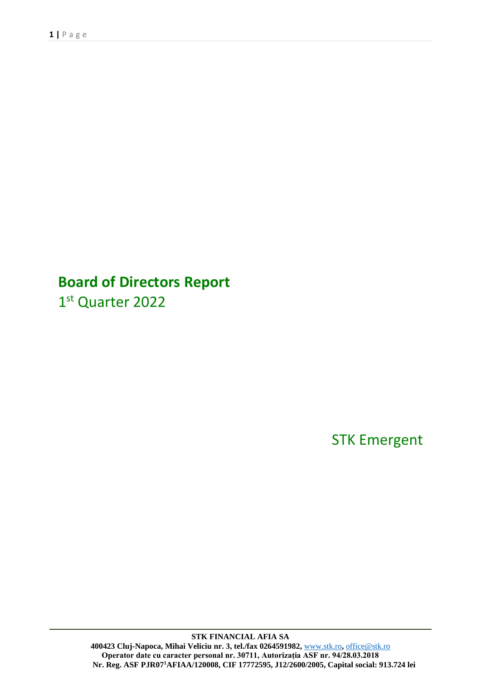# **Board of Directors Report**

1st Quarter 2022

STK Emergent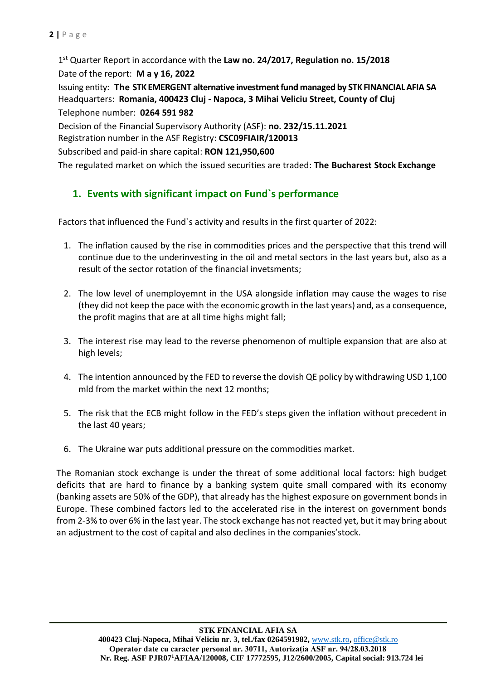1 st Quarter Report in accordance with the **Law no. 24/2017, Regulation no. 15/2018**

Date of the report: **May 16, 2022**

Issuing entity: **The STKEMERGENT alternative investmentfund managed by STKFINANCIALAFIA SA** Headquarters: **Romania, 400423 Cluj - Napoca, 3 Mihai Veliciu Street, County of Cluj** Telephone number: **0264 591 982**

Decision of the Financial Supervisory Authority (ASF): **no. 232/15.11.2021**

Registration number in the ASF Registry: **CSC09FIAIR/120013**

Subscribed and paid-in share capital: **RON 121,950,600**

The regulated market on which the issued securities are traded: **The Bucharest Stock Exchange**

# **1. Events with significant impact on Fund`s performance**

Factors that influenced the Fund`s activity and results in the first quarter of 2022:

- 1. The inflation caused by the rise in commodities prices and the perspective that this trend will continue due to the underinvesting in the oil and metal sectors in the last years but, also as a result of the sector rotation of the financial invetsments;
- 2. The low level of unemployemnt in the USA alongside inflation may cause the wages to rise (they did not keep the pace with the economic growth in the last years) and, as a consequence, the profit magins that are at all time highs might fall;
- 3. The interest rise may lead to the reverse phenomenon of multiple expansion that are also at high levels;
- 4. The intention announced by the FED to reverse the dovish QE policy by withdrawing USD 1,100 mld from the market within the next 12 months;
- 5. The risk that the ECB might follow in the FED's steps given the inflation without precedent in the last 40 years;
- 6. The Ukraine war puts additional pressure on the commodities market.

The Romanian stock exchange is under the threat of some additional local factors: high budget deficits that are hard to finance by a banking system quite small compared with its economy (banking assets are 50% of the GDP), that already has the highest exposure on government bonds in Europe. These combined factors led to the accelerated rise in the interest on government bonds from 2-3% to over 6% in the last year. The stock exchange has not reacted yet, but it may bring about an adjustment to the cost of capital and also declines in the companies'stock.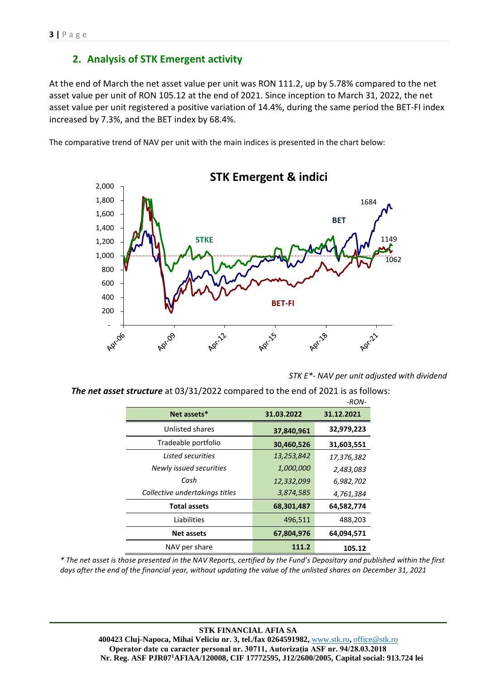# **2. Analysis of STK Emergent activity**

At the end of March the net asset value per unit was RON 111.2, up by 5.78% compared to the net asset value per unit of RON 105.12 at the end of 2021. Since inception to March 31, 2022, the net asset value per unit registered a positive variation of 14.4%, during the same period the BET-FI index increased by 7.3%, and the BET index by 68.4%.

The comparative trend of NAV per unit with the main indices is presented in the chart below:



**STK Emergent & indici** 

*STK E\*- NAV per unit adjusted with dividend*

 *The net asset structure* at 03/31/2022 compared to the end of 2021 is as follows: *-RON-*

|                                |            | -חטור      |
|--------------------------------|------------|------------|
| Net assets*                    | 31.03.2022 | 31.12.2021 |
| Unlisted shares                | 37,840,961 | 32,979,223 |
| Tradeable portfolio            | 30,460,526 | 31,603,551 |
| Listed securities              | 13,253,842 | 17,376,382 |
| Newly issued securities        | 1,000,000  | 2,483,083  |
| Cash                           | 12,332,099 | 6,982,702  |
| Collective undertakings titles | 3,874,585  | 4,761,384  |
| <b>Total assets</b>            | 68,301,487 | 64,582,774 |
| Liabilities                    | 496,511    | 488,203    |
| <b>Net assets</b>              | 67,804,976 | 64,094,571 |
| NAV per share                  | 111.2      | 105.12     |

*\* The net asset is those presented in the NAV Reports, certified by the Fund's Depositary and published within the first days after the end of the financial year, without updating the value of the unlisted shares on December 31, 2021*

**STK FINANCIAL AFIA SA 400423 Cluj-Napoca, Mihai Veliciu nr. 3, tel./fax 0264591982,** [www.stk.ro](http://www.stk.ro/)**,** [office@stk.ro](mailto:office@stk.ro) **Operator date cu caracter personal nr. 30711, Autorizația ASF nr. 94/28.03.2018 Nr. Reg. ASF PJR07<sup>1</sup>AFIAA/120008, CIF 17772595, J12/2600/2005, Capital social: 913.724 lei**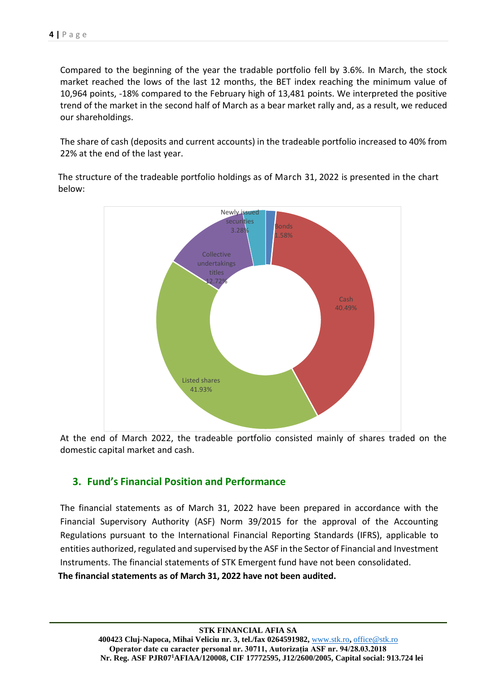Compared to the beginning of the year the tradable portfolio fell by 3.6%. In March, the stock market reached the lows of the last 12 months, the BET index reaching the minimum value of 10,964 points, -18% compared to the February high of 13,481 points. We interpreted the positive trend of the market in the second half of March as a bear market rally and, as a result, we reduced our shareholdings.

The share of cash (deposits and current accounts) in the tradeable portfolio increased to 40% from 22% at the end of the last year.

The structure of the tradeable portfolio holdings as of March 31, 2022 is presented in the chart below:



At the end of March 2022, the tradeable portfolio consisted mainly of shares traded on the domestic capital market and cash.

# **3. Fund's Financial Position and Performance**

The financial statements as of March 31, 2022 have been prepared in accordance with the Financial Supervisory Authority (ASF) Norm 39/2015 for the approval of the Accounting Regulations pursuant to the International Financial Reporting Standards (IFRS), applicable to entities authorized, regulated and supervised by the ASF in the Sector of Financial and Investment Instruments. The financial statements of STK Emergent fund have not been consolidated.

**The financial statements as of March 31, 2022 have not been audited.**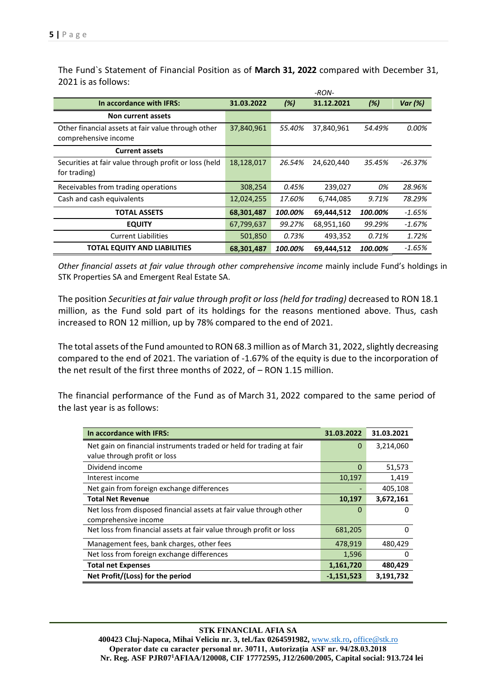*-RON-***In accordance with IFRS: 31.03.2022** *(%)* **31.12.2021** *(%) Var (%)* **Non current assets** Other financial assets at fair value through other comprehensive income 37,840,961 *55.40%* 37,840,961 *54.49% 0.00%* **Current assets** Securities at fair value through profit or loss (held for trading) 18,128,017 *26.54%* 24,620,440 *35.45% -26.37%* Receivables from trading operations 308,254 *0.45%* 239,027 *0% 28.96%* Cash and cash equivalents 12,024,255 *17.60%* 6,744,085 *9.71% 78.29%* **TOTAL ASSETS 68,301,487** *100.00%* **69,444,512** *100.00% -1.65%* **EQUITY** 67,799,637 *99.27%* 68,951,160 *99.29% -1.67%* Current Liabilities 501,850 *0.73%* 493,352 *0.71% 1.72%* **TOTAL EQUITY AND LIABILITIES 68,301,487** *100.00%* **69,444,512** *100.00% -1.65%*

The Fund`s Statement of Financial Position as of **March 31, 2022** compared with December 31, 2021 is as follows:

*Other financial assets at fair value through other comprehensive income* mainly include Fund's holdings in STK Properties SA and Emergent Real Estate SA.

The position *Securities at fair value through profit or loss (held for trading)* decreased to RON 18.1 million, as the Fund sold part of its holdings for the reasons mentioned above. Thus, cash increased to RON 12 million, up by 78% compared to the end of 2021.

The total assets of the Fund amounted to RON 68.3 million as of March 31, 2022, slightly decreasing compared to the end of 2021. The variation of -1.67% of the equity is due to the incorporation of the net result of the first three months of 2022, of – RON 1.15 million.

The financial performance of the Fund as of March 31, 2022 compared to the same period of the last year is as follows:

| In accordance with IFRS:                                             | 31.03.2022   | 31.03.2021 |
|----------------------------------------------------------------------|--------------|------------|
| Net gain on financial instruments traded or held for trading at fair | $\Omega$     | 3,214,060  |
| value through profit or loss                                         |              |            |
| Dividend income                                                      | $\Omega$     | 51,573     |
| Interest income                                                      | 10,197       | 1,419      |
| Net gain from foreign exchange differences                           |              | 405,108    |
| <b>Total Net Revenue</b>                                             | 10,197       | 3,672,161  |
| Net loss from disposed financial assets at fair value through other  | 0            | Ω          |
| comprehensive income                                                 |              |            |
| Net loss from financial assets at fair value through profit or loss  | 681,205      | Ω          |
| Management fees, bank charges, other fees                            | 478,919      | 480,429    |
| Net loss from foreign exchange differences                           | 1,596        | 0          |
| <b>Total net Expenses</b>                                            | 1,161,720    | 480,429    |
| Net Profit/(Loss) for the period                                     | $-1,151,523$ | 3,191,732  |

#### **STK FINANCIAL AFIA SA**

**400423 Cluj-Napoca, Mihai Veliciu nr. 3, tel./fax 0264591982,** [www.stk.ro](http://www.stk.ro/)**,** [office@stk.ro](mailto:office@stk.ro) **Operator date cu caracter personal nr. 30711, Autorizația ASF nr. 94/28.03.2018 Nr. Reg. ASF PJR07<sup>1</sup>AFIAA/120008, CIF 17772595, J12/2600/2005, Capital social: 913.724 lei**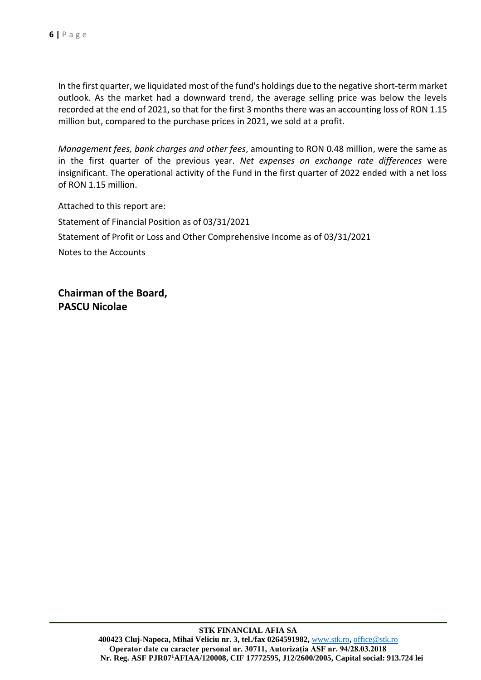In the first quarter, we liquidated most of the fund's holdings due to the negative short-term market outlook. As the market had a downward trend, the average selling price was below the levels recorded at the end of 2021, so that for the first 3 months there was an accounting loss of RON 1.15 million but, compared to the purchase prices in 2021, we sold at a profit.

*Management fees, bank charges and other fees*, amounting to RON 0.48 million, were the same as in the first quarter of the previous year. *Net expenses on exchange rate differences* were insignificant. The operational activity of the Fund in the first quarter of 2022 ended with a net loss of RON 1.15 million.

Attached to this report are: Statement of Financial Position as of 03/31/2021 Statement of Profit or Loss and Other Comprehensive Income as of 03/31/2021 Notes to the Accounts

**Chairman of the Board, PASCU Nicolae**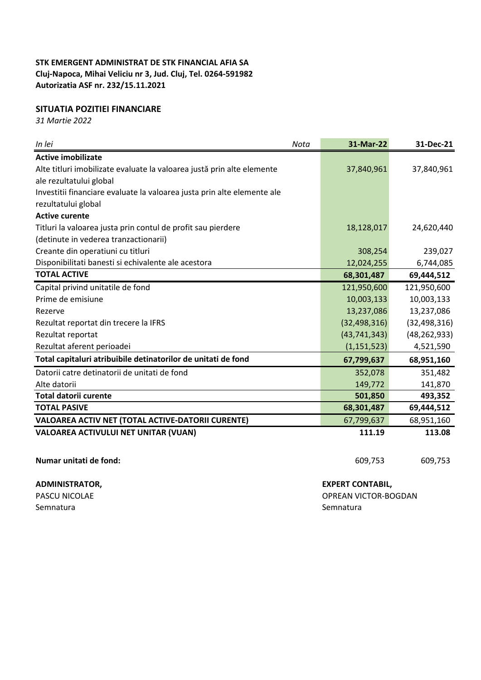### **SITUATIA POZITIEI FINANCIARE**

*31 Martie 2022*

| In lei<br>Nota                                                          | 31-Mar-22      | 31-Dec-21      |
|-------------------------------------------------------------------------|----------------|----------------|
| <b>Active imobilizate</b>                                               |                |                |
| Alte titluri imobilizate evaluate la valoarea justă prin alte elemente  | 37,840,961     | 37,840,961     |
| ale rezultatului global                                                 |                |                |
| Investitii financiare evaluate la valoarea justa prin alte elemente ale |                |                |
| rezultatului global                                                     |                |                |
| <b>Active curente</b>                                                   |                |                |
| Titluri la valoarea justa prin contul de profit sau pierdere            | 18,128,017     | 24,620,440     |
| (detinute in vederea tranzactionarii)                                   |                |                |
| Creante din operatiuni cu titluri                                       | 308,254        | 239,027        |
| Disponibilitati banesti si echivalente ale acestora                     | 12,024,255     | 6,744,085      |
| <b>TOTAL ACTIVE</b>                                                     | 68,301,487     | 69,444,512     |
| Capital privind unitatile de fond                                       | 121,950,600    | 121,950,600    |
| Prime de emisiune                                                       | 10,003,133     | 10,003,133     |
| Rezerve                                                                 | 13,237,086     | 13,237,086     |
| Rezultat reportat din trecere la IFRS                                   | (32, 498, 316) | (32, 498, 316) |
| Rezultat reportat                                                       | (43, 741, 343) | (48, 262, 933) |
| Rezultat aferent perioadei                                              | (1, 151, 523)  | 4,521,590      |
| Total capitaluri atribuibile detinatorilor de unitati de fond           | 67,799,637     | 68,951,160     |
| Datorii catre detinatorii de unitati de fond                            | 352,078        | 351,482        |
| Alte datorii                                                            | 149,772        | 141,870        |
| <b>Total datorii curente</b>                                            | 501,850        | 493,352        |
| <b>TOTAL PASIVE</b>                                                     | 68,301,487     | 69,444,512     |
| VALOAREA ACTIV NET (TOTAL ACTIVE-DATORII CURENTE)                       | 67,799,637     | 68,951,160     |
| VALOAREA ACTIVULUI NET UNITAR (VUAN)                                    | 111.19         | 113.08         |

**Numar unitati de fond:** 609,753 609,753 609,753

### **ADMINISTRATOR, EXPERT CONTABIL,**

PASCU NICOLAE **OPREAN VICTOR-BOGDAN** 

Semnatura **Semnatura** Semnatura Semnatura Semnatura Semnatura Semnatura Semnatura Semnatura Semnatura Semnatura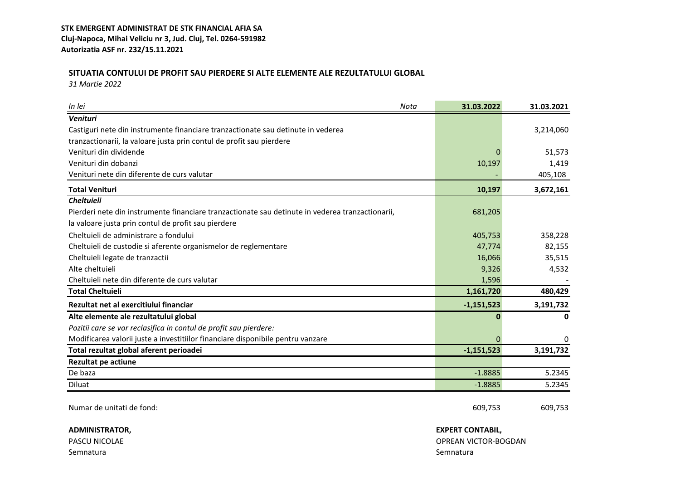# **SITUATIA CONTULUI DE PROFIT SAU PIERDERE SI ALTE ELEMENTE ALE REZULTATULUI GLOBAL**

*31 Martie 2022*

| In lei<br>Nota                                                                                   | 31.03.2022   | 31.03.2021 |
|--------------------------------------------------------------------------------------------------|--------------|------------|
| Venituri                                                                                         |              |            |
| Castiguri nete din instrumente financiare tranzactionate sau detinute in vederea                 |              | 3,214,060  |
| tranzactionarii, la valoare justa prin contul de profit sau pierdere                             |              |            |
| Venituri din dividende                                                                           |              | 51,573     |
| Venituri din dobanzi                                                                             | 10,197       | 1,419      |
| Venituri nete din diferente de curs valutar                                                      |              | 405,108    |
| <b>Total Venituri</b>                                                                            | 10,197       | 3,672,161  |
| <b>Cheltuieli</b>                                                                                |              |            |
| Pierderi nete din instrumente financiare tranzactionate sau detinute in vederea tranzactionarii, | 681,205      |            |
| la valoare justa prin contul de profit sau pierdere                                              |              |            |
| Cheltuieli de administrare a fondului                                                            | 405,753      | 358,228    |
| Cheltuieli de custodie si aferente organismelor de reglementare                                  | 47,774       | 82,155     |
| Cheltuieli legate de tranzactii                                                                  | 16,066       | 35,515     |
| Alte cheltuieli                                                                                  | 9,326        | 4,532      |
| Cheltuieli nete din diferente de curs valutar                                                    | 1,596        |            |
| <b>Total Cheltuieli</b>                                                                          | 1,161,720    | 480,429    |
| Rezultat net al exercitiului financiar                                                           | $-1,151,523$ | 3,191,732  |
| Alte elemente ale rezultatului global                                                            |              | 0          |
| Pozitii care se vor reclasifica in contul de profit sau pierdere:                                |              |            |
| Modificarea valorii juste a investitiilor financiare disponibile pentru vanzare                  | $\Omega$     | 0          |
| Total rezultat global aferent perioadei                                                          | $-1,151,523$ | 3,191,732  |
| <b>Rezultat pe actiune</b>                                                                       |              |            |
| De baza                                                                                          | $-1.8885$    | 5.2345     |
| Diluat                                                                                           | $-1.8885$    | 5.2345     |

**ADMINISTRATOR, EXPERT CONTABIL,**

Semnatura Semnatura Semnatura Semnatura Semnatura Semnatura Semnatura Semnatura Semnatura Semnatura Semnatura

Numar de unitati de fond: 609,753 609,753 609,753 609,753

PASCU NICOLAE OPREAN VICTOR-BOGDAN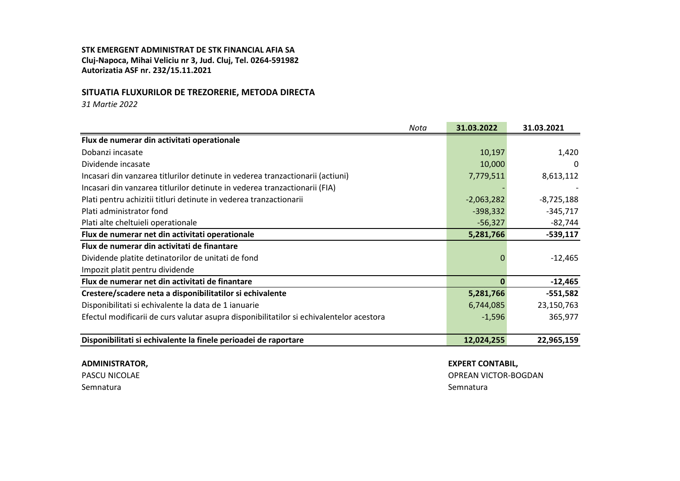#### **SITUATIA FLUXURILOR DE TREZORERIE, METODA DIRECTA**

*31 Martie 2022*

| Nota                                                                                     | 31.03.2022   | 31.03.2021   |
|------------------------------------------------------------------------------------------|--------------|--------------|
| Flux de numerar din activitati operationale                                              |              |              |
| Dobanzi incasate                                                                         | 10,197       | 1,420        |
| Dividende incasate                                                                       | 10,000       | 0            |
| Incasari din vanzarea titlurilor detinute in vederea tranzactionarii (actiuni)           | 7,779,511    | 8,613,112    |
| Incasari din vanzarea titlurilor detinute in vederea tranzactionarii (FIA)               |              |              |
| Plati pentru achizitii titluri detinute in vederea tranzactionarii                       | $-2,063,282$ | $-8,725,188$ |
| Plati administrator fond                                                                 | $-398,332$   | $-345,717$   |
| Plati alte cheltuieli operationale                                                       | $-56,327$    | $-82,744$    |
| Flux de numerar net din activitati operationale                                          | 5,281,766    | $-539,117$   |
| Flux de numerar din activitati de finantare                                              |              |              |
| Dividende platite detinatorilor de unitati de fond                                       |              | $-12,465$    |
| Impozit platit pentru dividende                                                          |              |              |
| Flux de numerar net din activitati de finantare                                          | Ω            | $-12,465$    |
| Crestere/scadere neta a disponibilitatilor si echivalente                                | 5,281,766    | $-551,582$   |
| Disponibilitati si echivalente la data de 1 ianuarie                                     | 6,744,085    | 23,150,763   |
| Efectul modificarii de curs valutar asupra disponibilitatilor si echivalentelor acestora | $-1,596$     | 365,977      |
|                                                                                          |              |              |
| Disponibilitati si echivalente la finele perioadei de raportare                          | 12,024,255   | 22,965,159   |

#### **ADMINISTRATOR, EXPERT CONTABIL,**

Semnatura di Semnatura Semnatura Semnatura Semnatura Semnatura Semnatura Semnatura Semnatura Semnatura Semnatu

PASCU NICOLAE OPREAN VICTOR-BOGDAN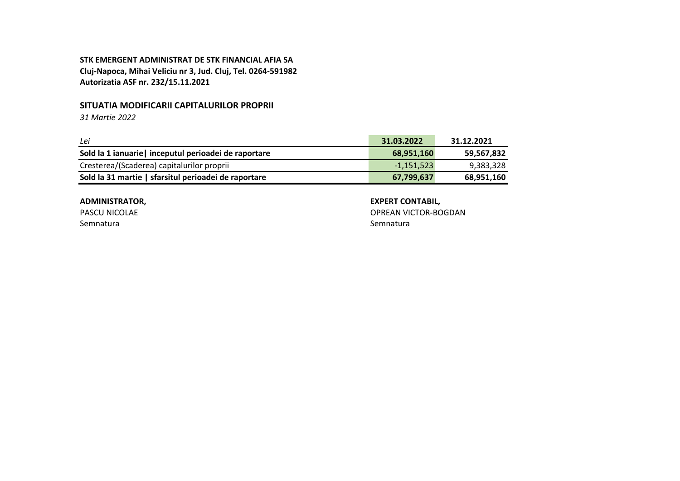### **SITUATIA MODIFICARII CAPITALURILOR PROPRII**

*31 Martie 2022*

| Lei                                                   | 31.03.2022   | 31.12.2021 |
|-------------------------------------------------------|--------------|------------|
| Sold la 1 ianuarie   inceputul perioadei de raportare | 68,951,160   | 59,567,832 |
| Cresterea/(Scaderea) capitalurilor proprii            | $-1,151,523$ | 9,383,328  |
| Sold la 31 martie   sfarsitul perioadei de raportare  | 67,799,637   | 68,951,160 |

Semnatura **Semnatura** Semnatura Semnatura Semnatura Semnatura Semnatura Semnatura Semnatura Semnatura Semnatura

### **ADMINISTRATOR, EXPERT CONTABIL,**

PASCU NICOLAE **OPREAN VICTOR-BOGDAN**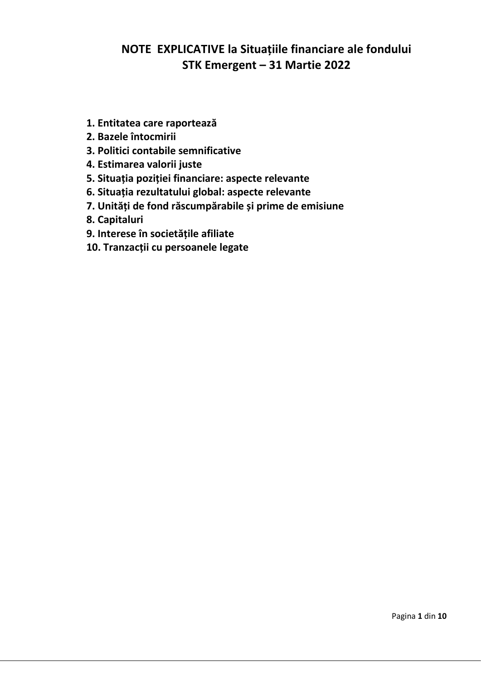# **NOTE EXPLICATIVE la Situațiile financiare ale fondului STK Emergent – 31 Martie 2022**

- **1. Entitatea care raportează**
- **2. Bazele întocmirii**
- **3. Politici contabile semnificative**
- **4. Estimarea valorii juste**
- **5. Situația poziției financiare: aspecte relevante**
- **6. Situația rezultatului global: aspecte relevante**
- **7. Unități de fond răscumpărabile și prime de emisiune**
- **8. Capitaluri**
- **9. Interese în societățile afiliate**
- **10. Tranzacții cu persoanele legate**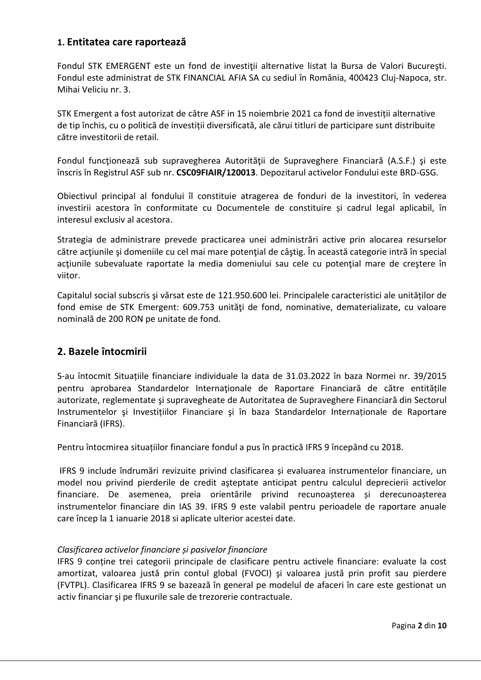# **1. Entitatea care raportează**

Fondul STK EMERGENT este un fond de investiții alternative listat la Bursa de Valori București. Fondul este administrat de STK FINANCIAL AFIA SA cu sediul în România, 400423 Cluj-Napoca, str. Mihai Veliciu nr. 3.

STK Emergent a fost autorizat de către ASF in 15 noiembrie 2021 ca fond de investiții alternative de tip închis, cu o politică de investiții diversificată, ale cărui titluri de participare sunt distribuite către investitorii de retail.

Fondul funcţionează sub supravegherea Autorităţii de Supraveghere Financiară (A.S.F.) şi este înscris în Registrul ASF sub nr. **CSC09FIAIR/120013**. Depozitarul activelor Fondului este BRD-GSG.

Obiectivul principal al fondului îl constituie atragerea de fonduri de la investitori, în vederea investirii acestora în conformitate cu Documentele de constituire și cadrul legal aplicabil, în interesul exclusiv al acestora.

Strategia de administrare prevede practicarea unei administrări active prin alocarea resurselor către actiunile și domeniile cu cel mai mare potențial de câștig. În aceaștă categorie intră în special acțiunile subevaluate raportate la media domeniului sau cele cu potențial mare de creștere în viitor.

Capitalul social subscris şi vărsat este de 121.950.600 lei. Principalele caracteristici ale unităților de fond emise de STK Emergent: 609.753 unități de fond, nominative, dematerializate, cu valoare nominală de 200 RON pe unitate de fond.

# **2. Bazele întocmirii**

S-au întocmit Situațiile financiare individuale la data de 31.03.2022 în baza Normei nr. 39/2015 pentru aprobarea Standardelor Internaţionale de Raportare Financiară de către entitățile autorizate, reglementate şi supravegheate de Autoritatea de Supraveghere Financiară din Sectorul Instrumentelor şi Investițiilor Financiare şi în baza Standardelor Internaționale de Raportare Financiară (IFRS).

Pentru întocmirea situațiilor financiare fondul a pus în practică IFRS 9 începând cu 2018.

IFRS 9 include îndrumări revizuite privind clasificarea și evaluarea instrumentelor financiare, un model nou privind pierderile de credit aşteptate anticipat pentru calculul deprecierii activelor financiare. De asemenea, preia orientările privind recunoașterea și derecunoașterea instrumentelor financiare din IAS 39. IFRS 9 este valabil pentru perioadele de raportare anuale care încep la 1 ianuarie 2018 si aplicate ulterior acestei date.

# *Clasificarea activelor financiare și pasivelor financiare*

IFRS 9 conține trei categorii principale de clasificare pentru activele financiare: evaluate la cost amortizat, valoarea justă prin contul global (FVOCI) şi valoarea justă prin profit sau pierdere (FVTPL). Clasificarea IFRS 9 se bazează în general pe modelul de afaceri în care este gestionat un activ financiar și pe fluxurile sale de trezorerie contractuale.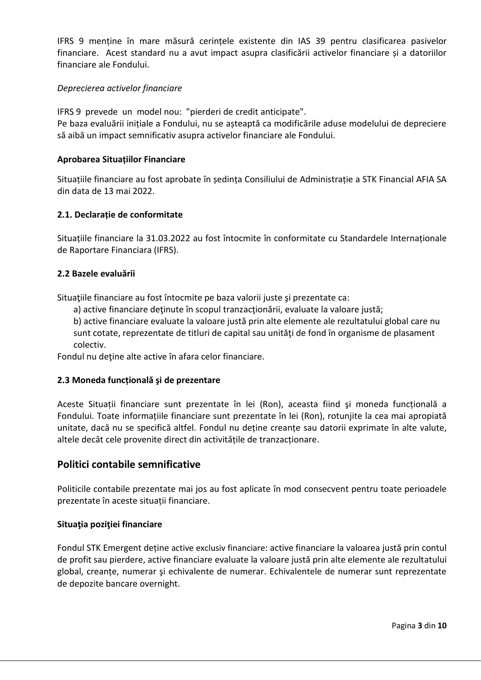IFRS 9 menține în mare măsură cerințele existente din IAS 39 pentru clasificarea pasivelor financiare. Acest standard nu a avut impact asupra clasificării activelor financiare și a datoriilor financiare ale Fondului.

### *Deprecierea activelor financiare*

IFRS 9 prevede un model nou: "pierderi de credit anticipate".

Pe baza evaluării inițiale a Fondului, nu se așteaptă ca modificările aduse modelului de depreciere să aibă un impact semnificativ asupra activelor financiare ale Fondului.

### **Aprobarea Situațiilor Financiare**

Situațiile financiare au fost aprobate în ședința Consiliului de Administrație a STK Financial AFIA SA din data de 13 mai 2022.

### **2.1. Declarație de conformitate**

Situațiile financiare la 31.03.2022 au fost întocmite în conformitate cu Standardele Internaționale de Raportare Financiara (IFRS).

#### **2.2 Bazele evaluării**

Situațiile financiare au fost întocmite pe baza valorii juste și prezentate ca:

a) active financiare deţinute în scopul tranzacţionării, evaluate la valoare justă;

b) active financiare evaluate la valoare justă prin alte elemente ale rezultatului global care nu sunt cotate, reprezentate de titluri de capital sau unităţi de fond în organisme de plasament colectiv.

Fondul nu deţine alte active în afara celor financiare.

### **2.3 Moneda funcțională şi de prezentare**

Aceste Situații financiare sunt prezentate în lei (Ron), aceasta fiind şi moneda funcțională a Fondului. Toate informațiile financiare sunt prezentate în lei (Ron), rotunjite la cea mai apropiată unitate, dacă nu se specifică altfel. Fondul nu deține creanțe sau datorii exprimate în alte valute, altele decât cele provenite direct din activitățile de tranzacționare.

# **Politici contabile semnificative**

Politicile contabile prezentate mai jos au fost aplicate în mod consecvent pentru toate perioadele prezentate în aceste situații financiare.

#### **Situaţia poziţiei financiare**

Fondul STK Emergent deține active exclusiv financiare: active financiare la valoarea justă prin contul de profit sau pierdere, active financiare evaluate la valoare justă prin alte elemente ale rezultatului global, creanțe, numerar şi echivalente de numerar. Echivalentele de numerar sunt reprezentate de depozite bancare overnight.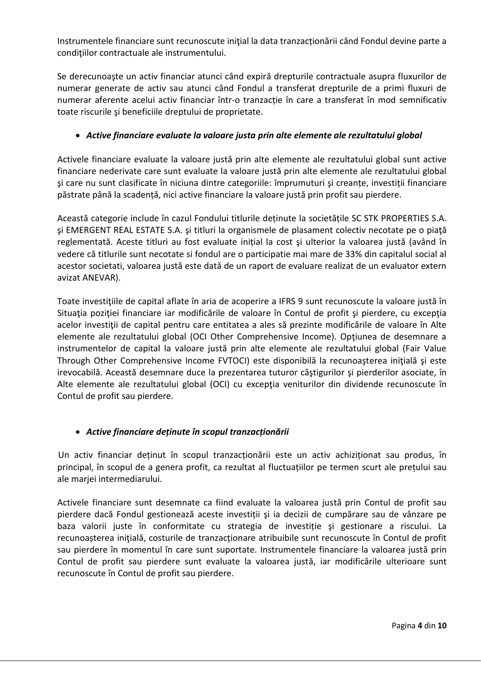Instrumentele financiare sunt recunoscute initial la data tranzactionării când Fondul devine parte a condițiilor contractuale ale instrumentului.

Se derecunoaşte un activ financiar atunci când expiră drepturile contractuale asupra fluxurilor de numerar generate de activ sau atunci când Fondul a transferat drepturile de a primi fluxuri de numerar aferente acelui activ financiar într-o tranzacție în care a transferat în mod semnificativ toate riscurile şi beneficiile dreptului de proprietate.

# • *Active financiare evaluate la valoare justa prin alte elemente ale rezultatului global*

Activele financiare evaluate la valoare justă prin alte elemente ale rezultatului global sunt active financiare nederivate care sunt evaluate la valoare justă prin alte elemente ale rezultatului global şi care nu sunt clasificate în niciuna dintre categoriile: împrumuturi şi creanțe, investiții financiare păstrate până la scadență, nici active financiare la valoare justă prin profit sau pierdere.

Această categorie include în cazul Fondului titlurile deținute la societățile SC STK PROPERTIES S.A. şi EMERGENT REAL ESTATE S.A. şi titluri la organismele de plasament colectiv necotate pe o piaţă reglementată. Aceste titluri au fost evaluate inițial la cost şi ulterior la valoarea justă (având în vedere că titlurile sunt necotate si fondul are o participatie mai mare de 33% din capitalul social al acestor societati, valoarea justă este dată de un raport de evaluare realizat de un evaluator extern avizat ANEVAR).

Toate investiţiile de capital aflate în aria de acoperire a IFRS 9 sunt recunoscute la valoare justă în Situația poziției financiare iar modificările de valoare în Contul de profit și pierdere, cu excepția acelor investiții de capital pentru care entitatea a ales să prezinte modificările de valoare în Alte elemente ale rezultatului global (OCI Other Comprehensive Income). Opţiunea de desemnare a instrumentelor de capital la valoare justă prin alte elemente ale rezultatului global (Fair Value Through Other Comprehensive Income FVTOCI) este disponibilă la recunoaşterea iniţială şi este irevocabilă. Această desemnare duce la prezentarea tuturor câştigurilor şi pierderilor asociate, în Alte elemente ale rezultatului global (OCI) cu excepția veniturilor din dividende recunoscute în Contul de profit sau pierdere.

# • *Active financiare deținute în scopul tranzacționării*

Un activ financiar deținut în scopul tranzacționării este un activ achiziționat sau produs, în principal, în scopul de a genera profit, ca rezultat al fluctuațiilor pe termen scurt ale prețului sau ale marjei intermediarului.

Activele financiare sunt desemnate ca fiind evaluate la valoarea justă prin Contul de profit sau pierdere dacă Fondul gestionează aceste investiții şi ia decizii de cumpărare sau de vânzare pe baza valorii juste în conformitate cu strategia de investiție şi gestionare a riscului. La recunoașterea iniţială, costurile de tranzacționare atribuibile sunt recunoscute în Contul de profit sau pierdere în momentul în care sunt suportate. Instrumentele financiare la valoarea justă prin Contul de profit sau pierdere sunt evaluate la valoarea justă, iar modificările ulterioare sunt recunoscute în Contul de profit sau pierdere.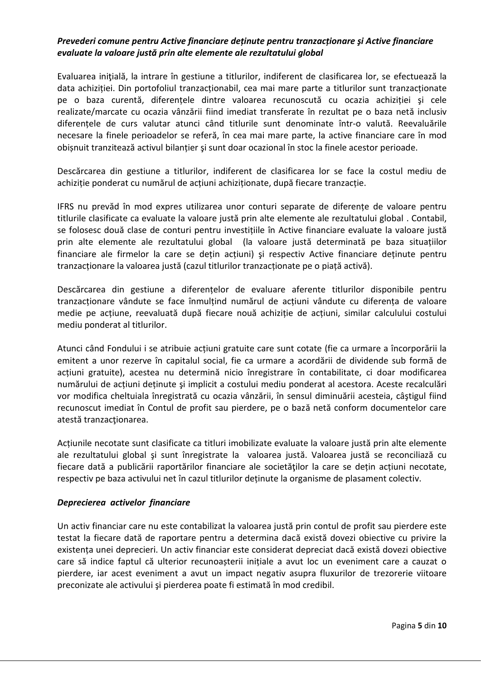### *Prevederi comune pentru Active financiare deținute pentru tranzacționare şi Active financiare evaluate la valoare justă prin alte elemente ale rezultatului global*

Evaluarea iniţială, la intrare în gestiune a titlurilor, indiferent de clasificarea lor, se efectuează la data achiziției. Din portofoliul tranzacționabil, cea mai mare parte a titlurilor sunt tranzacționate pe o baza curentă, diferențele dintre valoarea recunoscută cu ocazia achiziției şi cele realizate/marcate cu ocazia vânzării fiind imediat transferate în rezultat pe o baza netă inclusiv diferențele de curs valutar atunci când titlurile sunt denominate într-o valută. Reevaluările necesare la finele perioadelor se referă, în cea mai mare parte, la active financiare care în mod obișnuit tranzitează activul bilanțier şi sunt doar ocazional în stoc la finele acestor perioade.

Descărcarea din gestiune a titlurilor, indiferent de clasificarea lor se face la costul mediu de achiziție ponderat cu numărul de acțiuni achiziționate, după fiecare tranzacție.

IFRS nu prevăd în mod expres utilizarea unor conturi separate de diferențe de valoare pentru titlurile clasificate ca evaluate la valoare justă prin alte elemente ale rezultatului global . Contabil, se folosesc două clase de conturi pentru investițiile în Active financiare evaluate la valoare justă prin alte elemente ale rezultatului global (la valoare justă determinată pe baza situațiilor financiare ale firmelor la care se dețin acțiuni) şi respectiv Active financiare deținute pentru tranzacționare la valoarea justă (cazul titlurilor tranzacționate pe o piață activă).

Descărcarea din gestiune a diferențelor de evaluare aferente titlurilor disponibile pentru tranzacționare vândute se face înmulțind numărul de acțiuni vândute cu diferența de valoare medie pe acțiune, reevaluată după fiecare nouă achiziție de acțiuni, similar calculului costului mediu ponderat al titlurilor.

Atunci când Fondului i se atribuie acțiuni gratuite care sunt cotate (fie ca urmare a încorporării la emitent a unor rezerve în capitalul social, fie ca urmare a acordării de dividende sub formă de acțiuni gratuite), acestea nu determină nicio înregistrare în contabilitate, ci doar modificarea numărului de acțiuni deținute şi implicit a costului mediu ponderat al acestora. Aceste recalculări vor modifica cheltuiala înregistrată cu ocazia vânzării, în sensul diminuării acesteia, câştigul fiind recunoscut imediat în Contul de profit sau pierdere, pe o bază netă conform documentelor care atestă tranzacţionarea.

Acțiunile necotate sunt clasificate ca titluri imobilizate evaluate la valoare justă prin alte elemente ale rezultatului global şi sunt înregistrate la valoarea justă. Valoarea justă se reconciliază cu fiecare dată a publicării raportărilor financiare ale societăţilor la care se dețin acțiuni necotate, respectiv pe baza activului net în cazul titlurilor deținute la organisme de plasament colectiv.

### *Deprecierea activelor financiare*

Un activ financiar care nu este contabilizat la valoarea justă prin contul de profit sau pierdere este testat la fiecare dată de raportare pentru a determina dacă există dovezi obiective cu privire la existența unei deprecieri. Un activ financiar este considerat depreciat dacă există dovezi obiective care să indice faptul că ulterior recunoașterii inițiale a avut loc un eveniment care a cauzat o pierdere, iar acest eveniment a avut un impact negativ asupra fluxurilor de trezorerie viitoare preconizate ale activului şi pierderea poate fi estimată în mod credibil.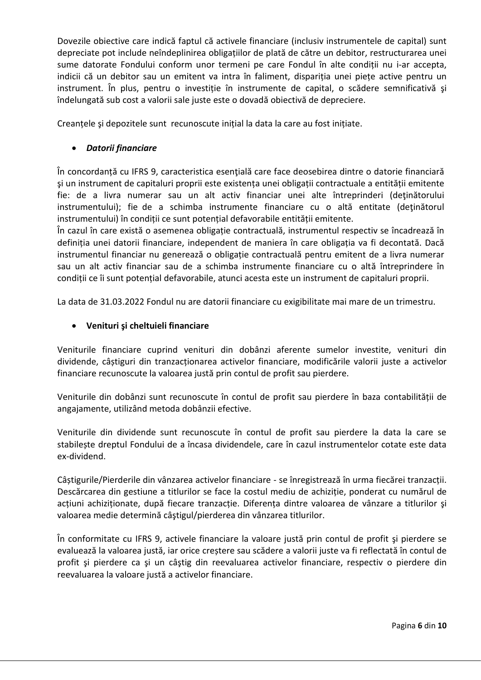Dovezile obiective care indică faptul că activele financiare (inclusiv instrumentele de capital) sunt depreciate pot include neîndeplinirea obligațiilor de plată de către un debitor, restructurarea unei sume datorate Fondului conform unor termeni pe care Fondul în alte condiții nu i-ar accepta, indicii că un debitor sau un emitent va intra în faliment, dispariția unei piețe active pentru un instrument. În plus, pentru o investiție în instrumente de capital, o scădere semnificativă şi îndelungată sub cost a valorii sale juste este o dovadă obiectivă de depreciere.

Creanțele şi depozitele sunt recunoscute inițial la data la care au fost inițiate.

### • *Datorii financiare*

În concordanță cu IFRS 9, caracteristica esenţială care face deosebirea dintre o datorie financiară şi un instrument de capitaluri proprii este existența unei obligații contractuale a entității emitente fie: de a livra numerar sau un alt activ financiar unei alte întreprinderi (deţinătorului instrumentului); fie de a schimba instrumente financiare cu o altă entitate (deţinătorul instrumentului) în condiții ce sunt potențial defavorabile entității emitente.

În cazul în care există o asemenea obligație contractuală, instrumentul respectiv se încadrează în definiția unei datorii financiare, independent de maniera în care obligația va fi decontată. Dacă instrumentul financiar nu generează o obligație contractuală pentru emitent de a livra numerar sau un alt activ financiar sau de a schimba instrumente financiare cu o altă întreprindere în condiții ce îi sunt potențial defavorabile, atunci acesta este un instrument de capitaluri proprii.

La data de 31.03.2022 Fondul nu are datorii financiare cu exigibilitate mai mare de un trimestru.

### • **Venituri şi cheltuieli financiare**

Veniturile financiare cuprind venituri din dobânzi aferente sumelor investite, venituri din dividende, câștiguri din tranzacționarea activelor financiare, modificările valorii juste a activelor financiare recunoscute la valoarea justă prin contul de profit sau pierdere.

Veniturile din dobânzi sunt recunoscute în contul de profit sau pierdere în baza contabilității de angajamente, utilizând metoda dobânzii efective.

Veniturile din dividende sunt recunoscute în contul de profit sau pierdere la data la care se stabilește dreptul Fondului de a încasa dividendele, care în cazul instrumentelor cotate este data ex-dividend.

Câștigurile/Pierderile din vânzarea activelor financiare - se înregistrează în urma fiecărei tranzacții. Descărcarea din gestiune a titlurilor se face la costul mediu de achiziție, ponderat cu numărul de acțiuni achiziționate, după fiecare tranzacție. Diferența dintre valoarea de vânzare a titlurilor şi valoarea medie determină câştigul/pierderea din vânzarea titlurilor.

În conformitate cu IFRS 9, activele financiare la valoare justă prin contul de profit şi pierdere se evaluează la valoarea justă, iar orice creștere sau scădere a valorii juste va fi reflectată în contul de profit şi pierdere ca şi un câştig din reevaluarea activelor financiare, respectiv o pierdere din reevaluarea la valoare justă a activelor financiare.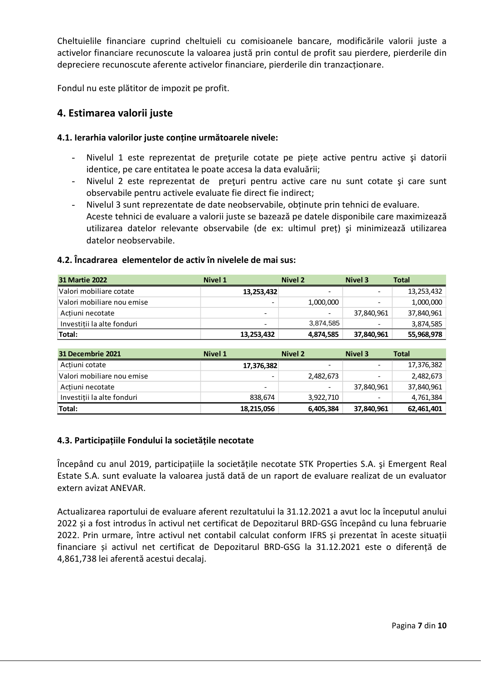Cheltuielile financiare cuprind cheltuieli cu comisioanele bancare, modificările valorii juste a activelor financiare recunoscute la valoarea justă prin contul de profit sau pierdere, pierderile din depreciere recunoscute aferente activelor financiare, pierderile din tranzacționare.

Fondul nu este plătitor de impozit pe profit.

# **4. Estimarea valorii juste**

### **4.1. Ierarhia valorilor juste conține următoarele nivele:**

- Nivelul 1 este reprezentat de prețurile cotate pe piețe active pentru active și datorii identice, pe care entitatea le poate accesa la data evaluării;
- Nivelul 2 este reprezentat de preturi pentru active care nu sunt cotate și care sunt observabile pentru activele evaluate fie direct fie indirect;
- Nivelul 3 sunt reprezentate de date neobservabile, obținute prin tehnici de evaluare. Aceste tehnici de evaluare a valorii juste se bazează pe datele disponibile care maximizează utilizarea datelor relevante observabile (de ex: ultimul preț) şi minimizează utilizarea datelor neobservabile.

### **4.2. Încadrarea elementelor de activ în nivelele de mai sus:**

| <b>31 Martie 2022</b>      | <b>Nivel 1</b>           | Nivel 2                  | Nivel 3                  | <b>Total</b> |
|----------------------------|--------------------------|--------------------------|--------------------------|--------------|
| Valori mobiliare cotate    | 13,253,432               | $\overline{\phantom{a}}$ |                          | 13,253,432   |
| Valori mobiliare nou emise | -                        | 1,000,000                |                          | 1,000,000    |
| Actiuni necotate           | $\overline{\phantom{a}}$ | $\overline{\phantom{0}}$ | 37,840,961               | 37,840,961   |
| Investitii la alte fonduri | -                        | 3.874.585                | $\overline{\phantom{a}}$ | 3,874,585    |
| Total:                     | 13,253,432               | 4,874,585                | 37,840,961               | 55,968,978   |

| 31 Decembrie 2021          | Nivel 1                  | Nivel 2                  | Nivel 3                  | <b>Total</b> |
|----------------------------|--------------------------|--------------------------|--------------------------|--------------|
| Actiuni cotate             | 17,376,382               | $\overline{\phantom{0}}$ |                          | 17,376,382   |
| Valori mobiliare nou emise |                          | 2,482,673                | $\overline{\phantom{a}}$ | 2,482,673    |
| Actiuni necotate           | $\overline{\phantom{0}}$ | $\overline{\phantom{a}}$ | 37,840,961               | 37,840,961   |
| Investitii la alte fonduri | 838.674                  | 3.922.710                | $\overline{\phantom{0}}$ | 4,761,384    |
| Total:                     | 18,215,056               | 6,405,384                | 37,840,961               | 62,461,401   |

### **4.3. Participațiile Fondului la societățile necotate**

Începând cu anul 2019, participațiile la societățile necotate STK Properties S.A. şi Emergent Real Estate S.A. sunt evaluate la valoarea justă dată de un raport de evaluare realizat de un evaluator extern avizat ANEVAR.

Actualizarea raportului de evaluare aferent rezultatului la 31.12.2021 a avut loc la începutul anului 2022 și a fost introdus în activul net certificat de Depozitarul BRD-GSG începând cu luna februarie 2022. Prin urmare, între activul net contabil calculat conform IFRS și prezentat în aceste situații financiare și activul net certificat de Depozitarul BRD-GSG la 31.12.2021 este o diferență de 4,861,738 lei aferentă acestui decalaj.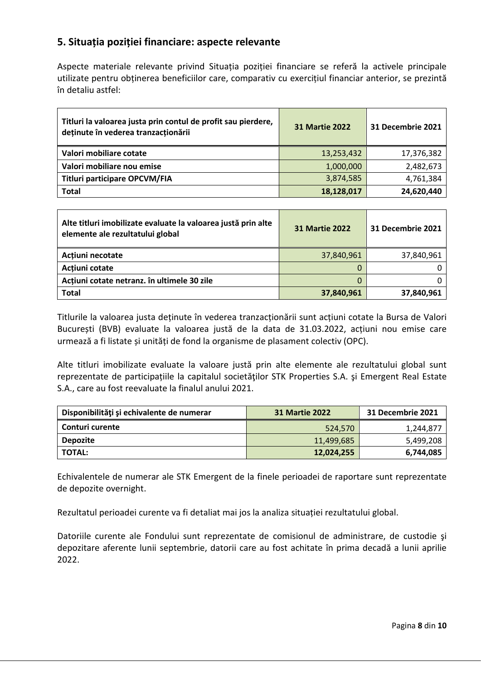# **5. Situația poziției financiare: aspecte relevante**

Aspecte materiale relevante privind Situația poziției financiare se referă la activele principale utilizate pentru obținerea beneficiilor care, comparativ cu exercițiul financiar anterior, se prezintă în detaliu astfel:

| Titluri la valoarea justa prin contul de profit sau pierdere,<br>deținute în vederea tranzacționării | <b>31 Martie 2022</b> | 31 Decembrie 2021 |
|------------------------------------------------------------------------------------------------------|-----------------------|-------------------|
| Valori mobiliare cotate                                                                              | 13,253,432            | 17,376,382        |
| Valori mobiliare nou emise                                                                           | 1,000,000             | 2,482,673         |
| Titluri participare OPCVM/FIA                                                                        | 3,874,585             | 4,761,384         |
| <b>Total</b>                                                                                         | 18,128,017            | 24,620,440        |

| Alte titluri imobilizate evaluate la valoarea justă prin alte<br>elemente ale rezultatului global | <b>31 Martie 2022</b> | 31 Decembrie 2021 |
|---------------------------------------------------------------------------------------------------|-----------------------|-------------------|
| Actiuni necotate                                                                                  | 37,840,961            | 37,840,961        |
| Actiuni cotate                                                                                    |                       |                   |
| Acțiuni cotate netranz. în ultimele 30 zile                                                       |                       |                   |
| <b>Total</b>                                                                                      | 37,840,961            | 37,840,961        |

Titlurile la valoarea justa deținute în vederea tranzacționării sunt acțiuni cotate la Bursa de Valori București (BVB) evaluate la valoarea justă de la data de 31.03.2022, acțiuni nou emise care urmează a fi listate și unități de fond la organisme de plasament colectiv (OPC).

Alte titluri imobilizate evaluate la valoare justă prin alte elemente ale rezultatului global sunt reprezentate de participațiile la capitalul societăţilor STK Properties S.A. şi Emergent Real Estate S.A., care au fost reevaluate la finalul anului 2021.

| Disponibilități și echivalente de numerar | <b>31 Martie 2022</b> | 31 Decembrie 2021 |
|-------------------------------------------|-----------------------|-------------------|
| Conturi curente                           | 524.570               | 1,244,877         |
| <b>Depozite</b>                           | 11,499,685            | 5,499,208         |
| <b>TOTAL:</b>                             | 12,024,255            | 6,744,085         |

Echivalentele de numerar ale STK Emergent de la finele perioadei de raportare sunt reprezentate de depozite overnight.

Rezultatul perioadei curente va fi detaliat mai jos la analiza situației rezultatului global.

Datoriile curente ale Fondului sunt reprezentate de comisionul de administrare, de custodie şi depozitare aferente lunii septembrie, datorii care au fost achitate în prima decadă a lunii aprilie 2022.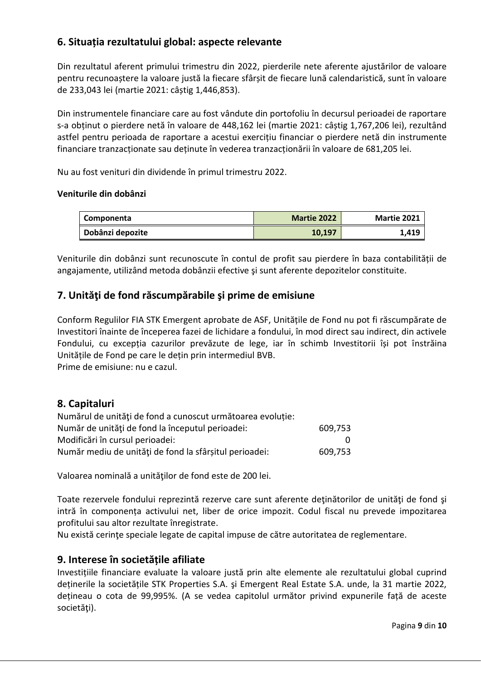# **6. Situația rezultatului global: aspecte relevante**

Din rezultatul aferent primului trimestru din 2022, pierderile nete aferente ajustărilor de valoare pentru recunoaștere la valoare justă la fiecare sfârșit de fiecare lună calendaristică, sunt în valoare de 233,043 lei (martie 2021: câștig 1,446,853).

Din instrumentele financiare care au fost vândute din portofoliu în decursul perioadei de raportare s-a obținut o pierdere netă în valoare de 448,162 lei (martie 2021: câștig 1,767,206 lei), rezultând astfel pentru perioada de raportare a acestui exercițiu financiar o pierdere netă din instrumente financiare tranzacționate sau deținute în vederea tranzacționării în valoare de 681,205 lei.

Nu au fost venituri din dividende în primul trimestru 2022.

### **Veniturile din dobânzi**

| Componenta       | <b>Martie 2022</b> | <b>Martie 2021</b> |
|------------------|--------------------|--------------------|
| Dobânzi depozite | 10.197             | 1,419              |

Veniturile din dobânzi sunt recunoscute în contul de profit sau pierdere în baza contabilității de angajamente, utilizând metoda dobânzii efective şi sunt aferente depozitelor constituite.

# **7. Unităţi de fond răscumpărabile şi prime de emisiune**

Conform Regulilor FIA STK Emergent aprobate de ASF, Unitățile de Fond nu pot fi răscumpărate de Investitori înainte de începerea fazei de lichidare a fondului, în mod direct sau indirect, din activele Fondului, cu excepția cazurilor prevăzute de lege, iar în schimb Investitorii își pot înstrăina Unitățile de Fond pe care le dețin prin intermediul BVB.

Prime de emisiune: nu e cazul.

# **8. Capitaluri**

| Numărul de unități de fond a cunoscut următoarea evoluție: |              |
|------------------------------------------------------------|--------------|
| Număr de unități de fond la începutul perioadei:           | 609,753      |
| Modificări în cursul perioadei:                            | <sup>n</sup> |
| Număr mediu de unități de fond la sfârșitul perioadei:     | 609,753      |

Valoarea nominală a unităţilor de fond este de 200 lei.

Toate rezervele fondului reprezintă rezerve care sunt aferente deținătorilor de unități de fond și intră în componența activului net, liber de orice impozit. Codul fiscal nu prevede impozitarea profitului sau altor rezultate înregistrate.

Nu există cerinte speciale legate de capital impuse de către autoritatea de reglementare.

# **9. Interese în societățile afiliate**

Investițiile financiare evaluate la valoare justă prin alte elemente ale rezultatului global cuprind deținerile la societățile STK Properties S.A. şi Emergent Real Estate S.A. unde, la 31 martie 2022, dețineau o cota de 99,995%. (A se vedea capitolul următor privind expunerile față de aceste societăți).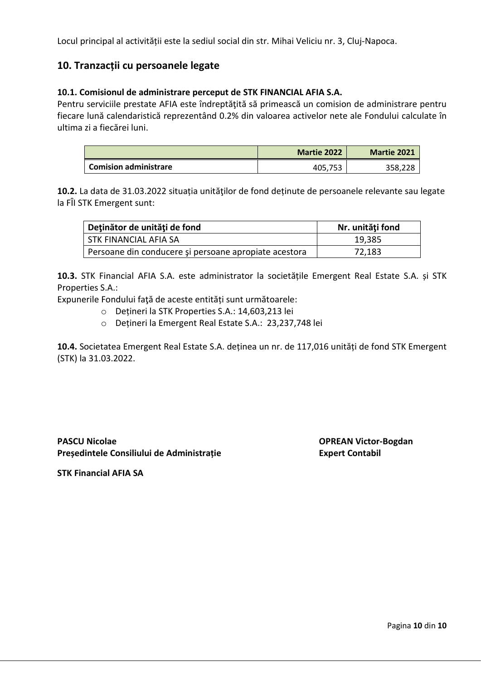Locul principal al activității este la sediul social din str. Mihai Veliciu nr. 3, Cluj-Napoca.

# **10. Tranzacții cu persoanele legate**

### **10.1. Comisionul de administrare perceput de STK FINANCIAL AFIA S.A.**

Pentru serviciile prestate AFIA este îndreptăţită să primească un comision de administrare pentru fiecare lună calendaristică reprezentând 0.2% din valoarea activelor nete ale Fondului calculate în ultima zi a fiecărei luni.

|                       | <b>Martie 2022</b> | <b>Martie 2021</b> |
|-----------------------|--------------------|--------------------|
| Comision administrare | 405.753            | 358,228            |

**10.2.** La data de 31.03.2022 situația unităţilor de fond deținute de persoanele relevante sau legate la FÎI STK Emergent sunt:

| Deținător de unități de fond                          | Nr. unități fond |
|-------------------------------------------------------|------------------|
| STK FINANCIAL AFIA SA                                 | 19,385           |
| Persoane din conducere și persoane apropiate acestora | 72,183           |

**10.3.** STK Financial AFIA S.A. este administrator la societățile Emergent Real Estate S.A. și STK Properties S.A.:

Expunerile Fondului faţă de aceste entități sunt următoarele:

- o Dețineri la STK Properties S.A.: 14,603,213 lei
- o Dețineri la Emergent Real Estate S.A.: 23,237,748 lei

**10.4.** Societatea Emergent Real Estate S.A. deținea un nr. de 117,016 unități de fond STK Emergent (STK) la 31.03.2022.

**PASCU Nicolae OPREAN Victor-Bogdan Președintele Consiliului de Administrație Expert Contabil** 

**STK Financial AFIA SA**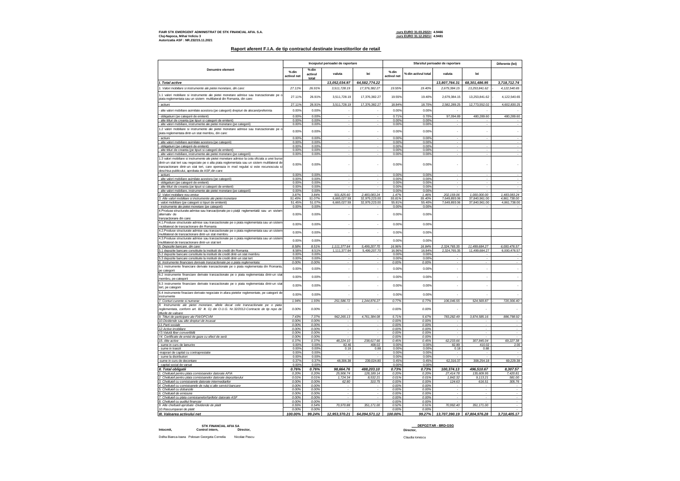#### **FIAIR STK EMERGENT ADMINISTRAT DE STK FINANCIAL AFIA. S.A. curs EURO 31.03.2022= 4.9466 Cluj-Napoca, Mihai Veliciu 3 curs EURO 31.12.2021= 4.9481 Autorizatia ASF : NR.232/15.11.2021**

#### **Raport aferent F.I.A. de tip contractul destinate investitorilor de retail**

|                                                                                                                                                                                                                                                                                                                                          |                      |                             | Inceputul perioadei de raportare |                                | Sfarsitul perioadei de raportare |                     |                              | Diferente (lei)                |                              |
|------------------------------------------------------------------------------------------------------------------------------------------------------------------------------------------------------------------------------------------------------------------------------------------------------------------------------------------|----------------------|-----------------------------|----------------------------------|--------------------------------|----------------------------------|---------------------|------------------------------|--------------------------------|------------------------------|
| Denumire element                                                                                                                                                                                                                                                                                                                         | % din<br>activul net | $%$ din<br>activul<br>total | valuta                           | lei                            | % din<br>activul net             | % din activul total | valuta                       | lei                            |                              |
| I. Total active                                                                                                                                                                                                                                                                                                                          |                      |                             | 13,052,034.97                    | 64,582,774.22                  |                                  |                     | 13,807,764.31                | 68,301,486.95                  | 3,718,712.74                 |
| 1. Valori mobiliare si instrumente ale pietei monetare, din care:                                                                                                                                                                                                                                                                        | 27.11%               | 26.91%                      | 3,511,728.19                     | 17,376,382.27                  | 19.55%                           | 19.40%              | 2,679,384.15                 | 13,253,841.62                  | 4, 122, 540.65               |
| 1.1 valori mobiliare si instrumente ale pietei monetare admise sau tranzactionate pe c<br>piata reglementata sau un sistem multilateral din Romania, din care:                                                                                                                                                                           | 27.11%               | 26.91%                      | 3,511,728.19                     | 17,376,382.27                  | 19.55%                           | 19.40%              | 2,679,384.15                 | 13,253,841.62                  | 4,122,540.65                 |
| actiuni                                                                                                                                                                                                                                                                                                                                  | 27.11%               | 26.91%                      | 3,511,728.19                     | 17,376,382.27                  | 18.84%                           | 18.70%              | 2,582,289.25                 | 12,773,552.02                  | 4,602,830.25                 |
| alte valori mobiliare asimilate acestora (pe categorii) drepturi de alocare/preferinta                                                                                                                                                                                                                                                   | 0.00%                | 0.00%                       |                                  |                                | 0.00%                            | 0.00%               |                              |                                |                              |
| obligatiuni (pe categorii de emitent)                                                                                                                                                                                                                                                                                                    | 0.00%                | 0.00%                       |                                  |                                | 0.71%                            | 0.70%               | 97,094.89                    | 480,289.60                     | 480,289.60                   |
| alte titluri de creanta (pe tipuri si categorii de emitent)                                                                                                                                                                                                                                                                              | 0.00%                | 0.00%                       |                                  |                                | 0.00%                            | 0.00%               |                              |                                |                              |
| alte valori mobiliare, instrumente ale pietei monetare (pe categorii)                                                                                                                                                                                                                                                                    | 0.00%                | 0.00%                       |                                  |                                | 0.00%                            | 0.00%               |                              |                                |                              |
| 1.2 valori mobiliare si instrumente ale pietei monetare admise sau tranzactionate pe o<br>piata reglementata dintr-un stat membru, din care:                                                                                                                                                                                             | 0.00%                | 0.00%                       |                                  | ×.                             | 0.00%                            | 0.00%               | ٠                            |                                | ٠                            |
| actiuni                                                                                                                                                                                                                                                                                                                                  | 0.00%                | 0.00%                       |                                  |                                | 0.00%                            | 0.00%               | ٠                            |                                |                              |
| alte valori mobiliare asimilate acestora (pe categorii)<br>· obligatiuni (pe categorii de emitent)                                                                                                                                                                                                                                       | 0.00%<br>0.00%       | 0.00%<br>0.00%              |                                  |                                | 0.00%<br>0.00%                   | 0.00%<br>0.00%      |                              |                                |                              |
| alte titluri de creanta (pe tipuri si categorii de emitent)                                                                                                                                                                                                                                                                              | 0.00%                | 0.00%                       |                                  |                                | 0.00%                            | 0.00%               |                              |                                |                              |
| alte valori mobiliare, instrumente ale pietei monetare (pe categorii)                                                                                                                                                                                                                                                                    | 0.00%                | 0.00%                       |                                  |                                | 0.00%                            | 0.00%               |                              |                                |                              |
| 1.3 valori mobiliare si instrumente ale pietei monetare admise la cota oficiala a unei burse<br>dintr-un stat tert sau negociate pe o alta piata reglementata sau un sistem multilateral de<br>tranzactionare dintr-un stat tert, care opereaza in mod regulat si este recunoscuta si<br>deschisa publicului, aprobata de ASF, din care: | 0.00%                | 0.00%                       |                                  |                                | 0.00%                            | 0.00%               |                              |                                | ٠                            |
| actiuni                                                                                                                                                                                                                                                                                                                                  | 0.00%                | 0.00%                       |                                  |                                | 0.00%                            | 0.00%               |                              |                                |                              |
| alte valori mobiliare asimilate acestora (pe categorii).<br>obligatiuni (pe categorii de emitent)                                                                                                                                                                                                                                        | 0.00%<br>0.00%       | 0.00%<br>0.00%              |                                  |                                | 0.00%<br>0.00%                   | 0.00%<br>0.00%      | ٠                            |                                |                              |
| alte titluri de creanta (pe tipuri si categorii de emitent)                                                                                                                                                                                                                                                                              | 0.00%                | 0.00%                       |                                  |                                | 0.00%                            | 0.00%               |                              |                                |                              |
| alte valori mobiliare, instrumente ale pietei monetare (pe categorii)                                                                                                                                                                                                                                                                    | 0.00%                | 0.00%                       |                                  |                                | 0.00%                            | 0.00%               |                              |                                |                              |
| 2. Valori mobiliare nou emise                                                                                                                                                                                                                                                                                                            | 3.87%                | 3.84%                       | 501,825.60                       | 2.483.083.24                   | 1.47%                            | 1.46%               | 202.159.06                   | 1,000,000.00                   | 1.483.083.24                 |
| 3. Alte valori mobiliare si instrumente ale pietei monetare<br>valori mobiliare (pe categorii si tipuri de emitenti)                                                                                                                                                                                                                     | 51.45%<br>51.45%     | 51.07%<br>51.07%            | 6,665,027.59<br>6,665,027.59     | 32,979,223.00<br>32,979,223.00 | 55.81%<br>55.81%                 | 55.40%<br>55.40%    | 7.649.893.06<br>7,649,893.06 | 37.840.961.00<br>37,840,961.00 | 4.861.738.00<br>4,861,738.00 |
| instrumente ale pietei monetare (pe categorii)                                                                                                                                                                                                                                                                                           | 0.00%                | 0.00%                       |                                  |                                | 0.00%                            | 0.00%               |                              |                                |                              |
| 4.Produse structurate admise sau tranzactionate pe o piată reglementată sau un sistem<br>alternativ de<br>tranzactionare din care:                                                                                                                                                                                                       | 0.00%                | 0.00%                       |                                  |                                | 0.00%                            | 0.00%               |                              |                                |                              |
| 4.1.Produse structurate admise sau tranzactionate pe o piata reglementata sau un sistem                                                                                                                                                                                                                                                  | 0.00%                | 0.00%                       | ÷.                               | ×.                             | 0.00%                            | 0.00%               |                              |                                |                              |
| multilateral de tranzactionare din Romania<br>4.2.Produse structurate admise sau tranzactionate pe o piata reglementata sau un sisten                                                                                                                                                                                                    | 0.00%                | 0.00%                       | ÷.                               | ×.                             | 0.00%                            | 0.00%               |                              |                                |                              |
| multilateral de tranzactionare dintr-un stat membru<br>4.3.Produse structurate admise sau tranzactionate pe o piata reglementata sau un sisten                                                                                                                                                                                           |                      |                             |                                  |                                |                                  |                     |                              |                                |                              |
| multilateral de tranzactionare dintr-un stat tert                                                                                                                                                                                                                                                                                        | 0.00%                | 0.00%                       |                                  |                                | 0.00%                            | 0.00%               |                              |                                |                              |
| 5. Depozite bancare, din care.                                                                                                                                                                                                                                                                                                           | 8.58%                | 8.51%                       | 1,111,377.64                     | 5,499,207.70                   | 16.96%                           | 16.84%              | 2,324,765.35                 | 11,499,684.27                  | 6,000,476.57                 |
| 5.1 depozite bancare constituite la institutii de credit din Romania                                                                                                                                                                                                                                                                     | 8.58%                | 8.51%                       | 1,111,377.64                     | 5,499,207.70                   | 16.96%                           | 16.84%              | 2,324,765.35                 | 11,499,684.27                  | 6,000,476.57                 |
| 5.2 depozite bancare constituite la institutii de credit dintr-un stat membru<br>5.3 depozite bancare constituite la institutii de credit dintr-un stat tert                                                                                                                                                                             | 0.00%<br>0.00%       | 0.00%<br>0.00%              | ٠                                |                                | 0.00%<br>0.00%                   | 0.00%<br>0.00%      | ٠                            |                                |                              |
| 6. Instrumente financiare derivate tranzactionate pe o piata reglementata:                                                                                                                                                                                                                                                               | 0.00%                | 0.00%                       | ٠                                | $\sim$                         | 0.00%                            | 0.00%               | $\overline{\phantom{a}}$     | ٠                              | $\sim$                       |
| 6.1 instrumente financiare derivate tranzactionate pe o piata reglementata din Romania<br>pe categorii                                                                                                                                                                                                                                   | 0.00%                | 0.00%                       | ×,                               | ä,                             | 0.00%                            | 0.00%               | J.                           |                                |                              |
| 6.2 instrumente financiare derivate tranzactionate pe o piata reglementata dintr-un stat<br>membru, pe categorii                                                                                                                                                                                                                         | 0.00%                | 0.00%                       | ÷.                               | ÷.                             | 0.00%                            | 0.00%               | ÷.                           | $\mathbf{r}$                   | $\epsilon$                   |
| 6.3 instrumente financiare derivate tranzactionate pe o piata reglementata dintr-un stat<br>tert, pe categori                                                                                                                                                                                                                            | 0.00%                | 0.00%                       |                                  | ٠                              | 0.00%                            | 0.00%               | ٠                            |                                |                              |
| 6.4 instrumente finaciare derivate negociate in afara pietelor reglementate, pe categorii de<br>instrumente                                                                                                                                                                                                                              | 0.00%                | 0.00%                       |                                  |                                | 0.00%                            | 0.00%               |                              |                                |                              |
| 7. Conturi curente si numerar<br>8. Instrumente ale pietei monetare, altele decat cele tranzactionate pe o piata                                                                                                                                                                                                                         | 1.94%                | 1.93%                       | 251,586.72                       | 1,244,876.27                   | 0.77%                            | 0.77%               | 106,046.55                   | 524,569.87                     | 720,306.40                   |
| reglementata, conform art. 82 lit. G) din O.U.G. Nr.32/2012-Contracte de tip repo de<br>titlurile de valoare                                                                                                                                                                                                                             | 0.00%                | 0.00%                       |                                  |                                | 0.00%                            | 0.00%               |                              |                                |                              |
| 9. Titluri de participare ale FIA/OPCVM                                                                                                                                                                                                                                                                                                  | 7.43%                | 7.37%                       | 962,265.13                       | 4,761,384.08                   | 5.71%                            | 5.67%               | 783,282.49                   | 3,874,585.16                   | 886,798.92                   |
| 10. Dividende sau alte drepturi de incasat<br>11. Parti sociale                                                                                                                                                                                                                                                                          | 0.00%<br>0.00%       | 0.00%<br>0.00%              |                                  |                                | 0.00%<br>0.00%                   | 0.00%<br>0.00%      |                              |                                |                              |
| 12.Active imobiliare                                                                                                                                                                                                                                                                                                                     | 0.00%                | 0.00%                       |                                  |                                | 0.00%                            | 0.00%               | $\cdot$                      |                                |                              |
| 13. Valută liber convertibilă                                                                                                                                                                                                                                                                                                            | 0.00%                | 0.00%                       |                                  |                                | 0.00%                            | 0.00%               |                              |                                |                              |
| 14. Certificate de emisii de gaze cu efect de seră<br>15. Alte active                                                                                                                                                                                                                                                                    | 0.00%<br>0.37%       | 0.00%<br>0.37%              | 48.224.10                        | 238.617.66                     | 0.00%<br>0.45%                   | 0.00%<br>0.45%      | 62.233.66                    | 307.845.04                     | 69.227.38                    |
| sume in curs de lamurire                                                                                                                                                                                                                                                                                                                 | 0.00%                | 0.00%                       | 82.46                            | 408.02                         | 0.00%                            | 0.00%               | 82.89                        | 410.02                         | 2.00                         |
| sume in tranzit                                                                                                                                                                                                                                                                                                                          | 0.00%                | 0.00%                       | 0.18                             | 0.88                           | 0.00%                            | 0.00%               | 0.18                         | 0.88                           |                              |
| majorari de capital cu contraprestatie                                                                                                                                                                                                                                                                                                   | 0.00%                | 0.00%                       |                                  |                                | 0.00%                            | 0.00%               |                              |                                |                              |
| sume la distribuitori<br>-sume in curs de decontare                                                                                                                                                                                                                                                                                      | 0.00%<br>0.37%       | 0.00%<br>0.37%              | 48,306.38                        | 239,024.80                     | 0.00%<br>0.45%                   | 0.00%<br>0.45%      | 62,316.37                    | 308,254.18                     | 69,229.38                    |
| capital social de varsat                                                                                                                                                                                                                                                                                                                 | 0.00%                | 0.00%                       |                                  |                                | 0.00%                            | 0.00%               |                              |                                |                              |
| II. Total obligatii                                                                                                                                                                                                                                                                                                                      | 0.76%                | 0.76%                       | 98,664.76                        | 488,203.10                     | 0.73%                            | 0.73%               | 100,374.13                   | 496,510.67                     | 8,307.57                     |
| 1. Cheltuieli pentru plata comisioanelor datorate AFIA                                                                                                                                                                                                                                                                                   | 0.20%                | 0.20%                       | 25,906.74                        | 128, 189.14                    | 0.20%                            | 0.20%               | 27,414.78                    | 135,609.95                     | 7,420.81                     |
| 2. Cheltuieli pentru plata comisioanelor datorate depozitarului<br>3. Cheltuieli cu comisioanele datorate intermediarilor                                                                                                                                                                                                                | 0.01%<br>0.00%       | 0.01%<br>0.00%              | 1.724.34<br>62.80                | 8.532.21<br>310.75             | 0.01%<br>0.00%                   | 0.01%<br>0.00%      | 1.842.32<br>124.63           | 9.113.21<br>616.51             | 581.00<br>305.76             |
| 4. Cheltuieli cu comisioanele de rulaj si alte servicii bancare                                                                                                                                                                                                                                                                          | 0.00%                | 0.00%                       |                                  |                                | 0.00%                            | 0.00%               |                              |                                |                              |
| 5. Cheltuieli cu dobanzile                                                                                                                                                                                                                                                                                                               | 0.00%                | 0.00%                       | ٠                                | ٠                              | 0.00%                            | 0.00%               | $\cdot$                      |                                |                              |
| 6. Cheltuieli de emisiune                                                                                                                                                                                                                                                                                                                | 0.00%<br>0.00%       | 0.00%<br>0.00%              | ٠                                | $\overline{\phantom{a}}$       | 0.00%<br>0.00%                   | 0.00%<br>0.00%      | $\overline{\phantom{a}}$     | ٠                              | $\sim$                       |
| 7. Cheltuieli cu plata comisioanelor/tarifelor datorate ASF<br>8. Cheltuieli cu auditul financiar                                                                                                                                                                                                                                        | 0.00%                | 0.00%                       |                                  |                                | 0.00%                            | 0.00%               |                              |                                |                              |
| 9. Alte cheltuieli aprobate -Dividende de platit                                                                                                                                                                                                                                                                                         | 0.55%                | 0.54%                       | 70,970.88                        | 351,171.00                     | 0.52%                            | 0.51%               | 70,992.40                    | 351, 171.00                    |                              |
| 10.Rascumparari de platit<br>III. Valoarea activului net                                                                                                                                                                                                                                                                                 | 0.00%<br>100.00%     | 0.00%<br>99.24%             | 12,953,370.21                    | 64,094,571.12                  | 0.00%<br>100.00%                 | 0.00%<br>99.27%     |                              | 13,707,390.19 67,804,976.28    | 3,710,405.17                 |

**STK FINANCIAL AFIA SA Intocmit, Control intern, Director,**

**Director, DEPOZITAR - BRD-GSG**

Dolha Bianca-Ioana Polosan Georgeta Cornelia Nicolae Pascu

Claudia Ionescu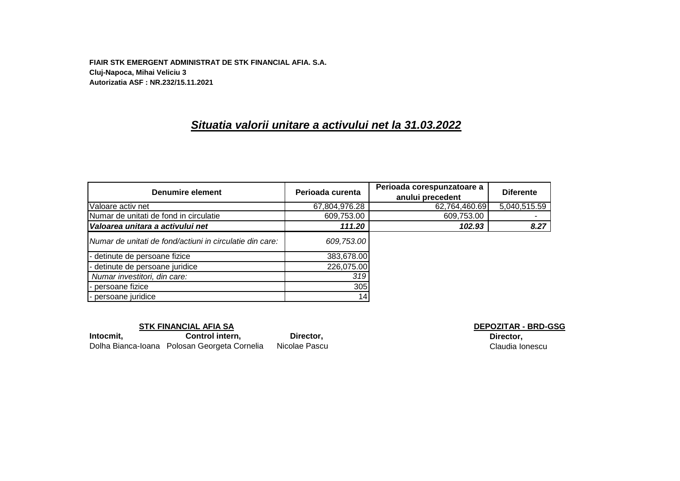**FIAIR STK EMERGENT ADMINISTRAT DE STK FINANCIAL AFIA. S.A. Cluj-Napoca, Mihai Veliciu 3 Autorizatia ASF : NR.232/15.11.2021**

# *Situatia valorii unitare a activului net la 31.03.2022*

| Denumire element                                         | Perioada curenta | Perioada corespunzatoare a<br>anului precedent | <b>Diferente</b> |
|----------------------------------------------------------|------------------|------------------------------------------------|------------------|
| Valoare activ net                                        | 67,804,976.28    | 62,764,460.69                                  | 5,040,515.59     |
| Numar de unitati de fond in circulatie                   | 609,753.00       | 609,753.00                                     |                  |
| Valoarea unitara a activului net                         | 111.20           | 102.93                                         | 8.27             |
| Numar de unitati de fond/actiuni in circulatie din care: | 609,753.00       |                                                |                  |
| - detinute de persoane fizice                            | 383,678.00       |                                                |                  |
| - detinute de persoane juridice                          | 226,075.00       |                                                |                  |
| Numar investitori, din care:                             | 319              |                                                |                  |
| - persoane fizice                                        | 305              |                                                |                  |
| - persoane juridice                                      | 14               |                                                |                  |

#### **STK FINANCIAL AFIA SA DEPOZITAR - BRD-GSG**

Intocmit, **Control intern, Director,** Dolha Bianca-Ioana Polosan Georgeta Cornelia Nicolae Pascu

**Director,** Claudia Ionescu